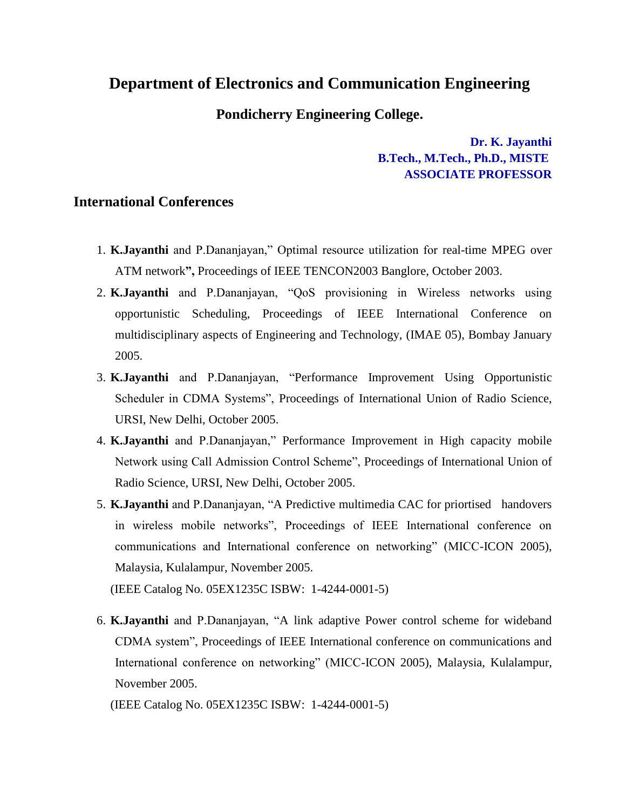## **Department of Electronics and Communication Engineering**

## **Pondicherry Engineering College.**

**Dr. K. Jayanthi B.Tech., M.Tech., Ph.D., MISTE ASSOCIATE PROFESSOR**

## **International Conferences**

- 1. **K.Jayanthi** and P.Dananjayan," Optimal resource utilization for real-time MPEG over ATM network**",** Proceedings of IEEE TENCON2003 Banglore, October 2003.
- 2. **K.Jayanthi** and P.Dananjayan, "QoS provisioning in Wireless networks using opportunistic Scheduling, Proceedings of IEEE International Conference on multidisciplinary aspects of Engineering and Technology, (IMAE 05), Bombay January 2005.
- 3. **K.Jayanthi** and P.Dananjayan, "Performance Improvement Using Opportunistic Scheduler in CDMA Systems", Proceedings of International Union of Radio Science, URSI, New Delhi, October 2005.
- 4. **K.Jayanthi** and P.Dananjayan," Performance Improvement in High capacity mobile Network using Call Admission Control Scheme", Proceedings of International Union of Radio Science, URSI, New Delhi, October 2005.
- 5. **K.Jayanthi** and P.Dananjayan, "A Predictive multimedia CAC for priortised handovers in wireless mobile networks", Proceedings of IEEE International conference on communications and International conference on networking" (MICC-ICON 2005), Malaysia, Kulalampur, November 2005.

(IEEE Catalog No. 05EX1235C ISBW: 1-4244-0001-5)

6. **K.Jayanthi** and P.Dananjayan, "A link adaptive Power control scheme for wideband CDMA system", Proceedings of IEEE International conference on communications and International conference on networking" (MICC-ICON 2005), Malaysia, Kulalampur, November 2005.

(IEEE Catalog No. 05EX1235C ISBW: 1-4244-0001-5)